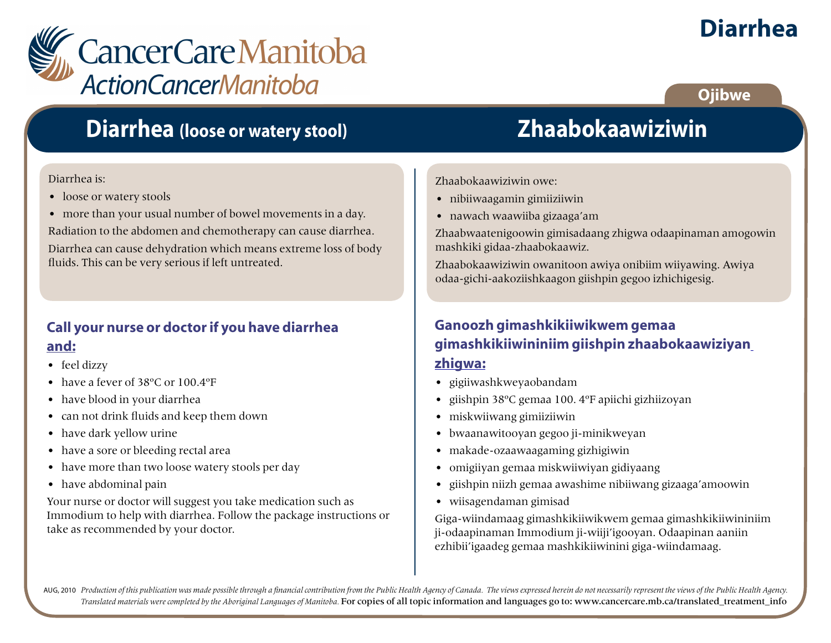

# **Diarrhea**

#### **Ojibwe**

## **Diarrhea (loose or watery stool)**

#### Diarrhea is:

- loose or watery stools
- more than your usual number of bowel movements in a day.

Radiation to the abdomen and chemotherapy can cause diarrhea.

Diarrhea can cause dehydration which means extreme loss of body fluids. This can be very serious if left untreated.

#### **Call your nurse or doctor if you have diarrhea and:**

- feel dizzy
- have a fever of 38°C or 100.4°F
- have blood in your diarrhea
- can not drink fluids and keep them down
- have dark yellow urine
- have a sore or bleeding rectal area
- have more than two loose watery stools per day
- have abdominal pain

Your nurse or doctor will suggest you take medication such as Immodium to help with diarrhea. Follow the package instructions or take as recommended by your doctor.

# **Zhaabokaawiziwin**

Zhaabokaawiziwin owe:

- nibiiwaagamin gimiiziiwin
- nawach waawiiba gizaaga'am

Zhaabwaatenigoowin gimisadaang zhigwa odaapinaman amogowin mashkiki gidaa-zhaabokaawiz.

Zhaabokaawiziwin owanitoon awiya onibiim wiiyawing. Awiya odaa-gichi-aakoziishkaagon giishpin gegoo izhichigesig.

#### **Ganoozh gimashkikiiwikwem gemaa gimashkikiiwininiim giishpin zhaabokaawiziyan zhigwa:**

- gigiiwashkweyaobandam
- giishpin 38ºC gemaa 100. 4ºF apiichi gizhiizoyan
- miskwiiwang gimiiziiwin
- bwaanawitooyan gegoo ji-minikweyan
- makade-ozaawaagaming gizhigiwin
- omigiiyan gemaa miskwiiwiyan gidiyaang
- giishpin niizh gemaa awashime nibiiwang gizaaga'amoowin
- wiisagendaman gimisad

Giga-wiindamaag gimashkikiiwikwem gemaa gimashkikiiwininiim ji-odaapinaman Immodium ji-wiiji'igooyan. Odaapinan aaniin ezhibii'igaadeg gemaa mashkikiiwinini giga-wiindamaag.

AUG, 2010 Production of this publication was made possible through a financial contribution from the Public Health Agency of Canada. The views expressed herein do not necessarily represent the views of the Public Health Ag *Translated materials were completed by the Aboriginal Languages of Manitoba.* For copies of all topic information and languages go to: www.cancercare.mb.ca/translated\_treatment\_info